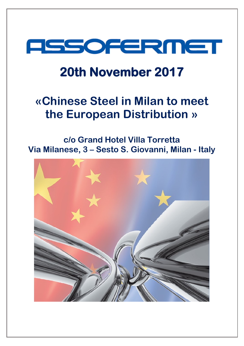

### **20th November 2017**

## **«Chinese Steel in Milan to meet the European Distribution »**

### **c/o Grand Hotel Villa Torretta Via Milanese, 3 – Sesto S. Giovanni, Milan - Italy**

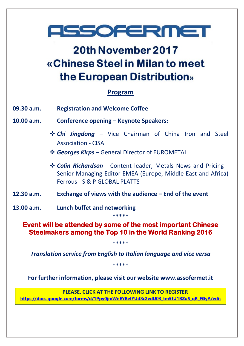# **FISSOFERMET**

### 20th November 2017 «Chinese Steel in Milan to meet the European Distribution»

### **Program**

- **09.30 a.m. Registration and Welcome Coffee**
- **10.00 a.m. Conference opening – Keynote Speakers:**
	- *Chi Jingdong* Vice Chairman of China Iron and Steel Association - CISA
	- *Georges Kirps* General Director of EUROMETAL
	- *Colin Richardson* Content leader, Metals News and Pricing Senior Managing Editor EMEA (Europe, Middle East and Africa) Ferrous - S & P GLOBAL PLATTS
- **12.30 a.m. Exchange of views with the audience – End of the event**
- **13.00 a.m. Lunch buffet and networking**

**Event will be attended by some of the most important Chinese Steelmakers among the Top 10 in the World Ranking 2016** 

\*\*\*\*\*

\*\*\*\*\*

*Translation service from English to Italian language and vice versa*

\*\*\*\*\*

**For further information, please visit our website [www.assofermet.it](http://www.assofermet.it/)**

**PLEASE, CLICK AT THE FOLLOWING LINK TO REGISTER [https://docs.google.com/forms/d/1Ppy0jmWnEYBeIYUd8c2vdU03\\_tm5fU1BZuS\\_qR\\_FGyA/edit](https://docs.google.com/forms/d/1Ppy0jmWnEYBeIYUd8c2vdU03_tm5fU1BZuS_qR_FGyA/edit)**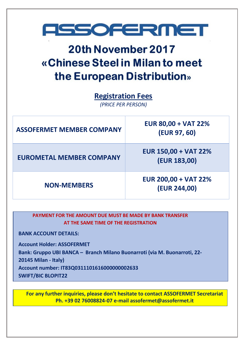

### 20th November 2017 «Chinese Steel in Milan to meet the European Distribution»

**Registration Fees**

*(PRICE PER PERSON)*

| <b>ASSOFERMET MEMBER COMPANY</b> | <b>EUR 80,00 + VAT 22%</b><br>(EUR 97, 60)  |
|----------------------------------|---------------------------------------------|
| <b>EUROMETAL MEMBER COMPANY</b>  | <b>EUR 150,00 + VAT 22%</b><br>(EUR 183,00) |
| <b>NON-MEMBERS</b>               | <b>EUR 200,00 + VAT 22%</b><br>(EUR 244,00) |

**PAYMENT FOR THE AMOUNT DUE MUST BE MADE BY BANK TRANSFER AT THE SAME TIME OF THE REGISTRATION**

**BANK ACCOUNT DETAILS:**

**Account Holder: ASSOFERMET**

**Bank: Gruppo UBI BANCA – Branch Milano Buonarroti (via M. Buonarroti, 22-**

**20145 Milan - Italy)**

**Account number: IT83Q0311101616000000002633**

**SWIFT/BIC BLOPIT22**

**For any further inquiries, please don't hesitate to contact ASSOFERMET Secretariat Ph. +39 02 76008824-07 e-mail assofermet@assofermet.it**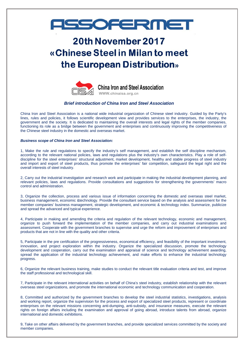## **FESOFERMET**

### 20th November 2017 «Chinese Steel in Milan to meet the European Distribution»



#### *Brief introduction of China Iron and Steel Association*

China Iron and Steel Association is a national wide industrial organization of Chinese steel industry. Guided by the Party's lines, rules and policies, it follows scientific development view and provides services to the enterprises, the industry, the government and the society. It is dedicated to maintaining the overall interests and legal rights of the member companies, functioning its role as a bridge between the government and enterprises and continuously improving the competitiveness of the Chinese steel industry in the domestic and overseas market.

#### *Business scope of China Iron and Steel Association:*

1, Make the rule and regulations to specify the industry's self management, and establish the self discipline mechanism, according to the relevant national policies, laws and regulations plus the industry's own characteristics. Play a role of selfdiscipline for the steel enterprises' structural adjustment, market development, healthy and stable progress of steel industry and import and export of steel products, thus promote the enterprises' fair competition, safeguard the legal right and the overall interests of steel industry.

2, Carry out the industrial investigation and research work and participate in making the industrial development planning, and relevant policies, laws and regulations. Provide consultations and suggestions for strengthening the governments' macro control and administration.

3, Organize the collection, process and various issue of information concerning the domestic and overseas steel market, business management, economic &technology. Provide the consultant service based on the analysis and assessment for the member companies' business management, strategic development, and economic & technology index. Summarize, publicize and spread the advanced and typical experience.

4, Participate in making and amending the criteria and regulation of the relevant technology, economic and management, organize to push forward the implementation of the member companies, and carry out industrial examinations and assessment. Cooperate with the government branches to supervise and urge the reform and improvement of enterprises and products that are not in line with the quality and other criteria.

5, Participate in the pre certification of the progressiveness, economical efficiency, and feasibility of the important investment, innovation, and project exploration within the industry. Organize the specialized discussion, promote the technology development and cooperation, carry out the examination and appraisal of science and technology achievement awarding, spread the application of the industrial technology achievement, and make efforts to enhance the industrial technology progress.

6, Organize the relevant business training, make studies to conduct the relevant title evaluation criteria and test, and improve the staff professional and technological skill.

7, Participate in the relevant international activities on behalf of China's steel industry, establish relationship with the relevant overseas steel organizations, and promote the international economic and technology communication and cooperation.

8, Committed and authorized by the government branches to develop the steel industrial statistics, investigations, analysis and working report, organize the supervision for the process and export of specialized steel products, represent or coordinate enterprises on the relevant missions concerning anti-dumping, anti-subsidy, and insurance measures, execute the relevant rights on foreign affairs including the examination and approval of going abroad, introduce talents from abroad, organize international and domestic exhibitions.

9, Take on other affairs delivered by the government branches, and provide specialized services committed by the society and member companies.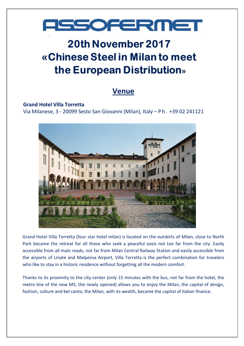# **ASSOFERMET**

### 20th November 2017 «Chinese Steel in Milan to meet the European Distribution»

### **Venue**

#### **Grand Hotel Villa Torretta**

Via Milanese, 3 - 20099 Sesto San Giovanni (Milan), Italy – Ph. +39 02 241121



Grand Hotel Villa Torretta (four star hotel milan) is located on the outskirts of Milan, close to North Park became the retreat for all those who seek a peaceful oasis not too far from the city. Easily accessible from all main roads, not far from Milan Central Railway Station and easily accessible from the airports of Linate and Malpensa Airport, Villa Torretta is the perfect combination for travelers who like to stay in a historic residence without forgetting all the modern comfort.

Thanks to its proximity to the city center (only 15 minutes with the bus, not far from the hotel, the metro line of the new M5, the newly opened) allows you to enjoy the Milan, the capital of design, fashion, culture and bel canto, the Milan, with its wealth, became the capital of Italian finance.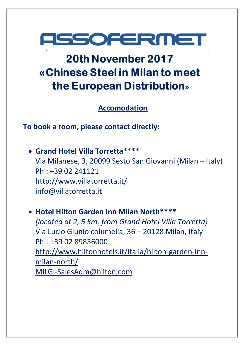

## 20th November 2017 «Chinese Steel in Milan to meet the European Distribution»

**Accomodation**

**To book a room, please contact directly:**

• **Grand Hotel Villa Torretta\*\*\*\*** Via Milanese, 3, 20099 Sesto San Giovanni (Milan – Italy) Ph.: +39 02 241121 <http://www.villatorretta.it/> [info@villatorretta.it](mailto:info@villatorretta.it)

• **Hotel Hilton Garden Inn Milan North\*\*\*\*** *(located at 2, 5 km. from Grand Hotel Villa Torretta)* Via Lucio Giunio columella, 36 – 20128 Milan, Italy Ph.: +39 02 89836000 [http://www.hiltonhotels.it/italia/hilton-garden-inn](http://www.hiltonhotels.it/italia/hilton-garden-inn-milan-north/)[milan-north/](http://www.hiltonhotels.it/italia/hilton-garden-inn-milan-north/) [MILGI-SalesAdm@hilton.com](mailto:MILGI-SalesAdm@hilton.com)